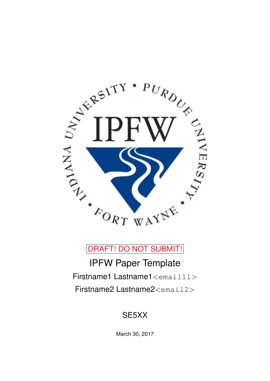

DRAFT! DO NOT SUBMIT!

IPFW Paper Template Firstname1 Lastname1<email11> Firstname2 Lastname2<email2>

# SE5XX

March 30, 2017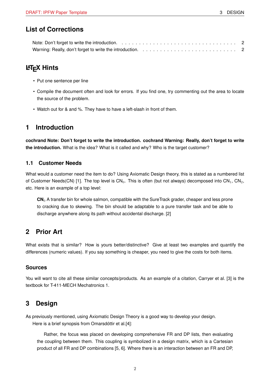### **List of Corrections**

# **LATEX Hints**

- Put one sentence per line
- Compile the document often and look for errors. If you find one, try commenting out the area to locate the source of the problem.
- Watch out for & and %. They have to have a left-slash in front of them.

### <span id="page-1-0"></span>**1 Introduction**

**cochrand Note: Don't forget to write the introduction. cochrand Warning: Really, don't forget to write the introduction.** What is the idea? What is it called and why? Who is the target customer?

#### **1.1 Customer Needs**

What would a customer need the item to do? Using Axiomatic Design theory, this is stated as a numbered list of Customer Needs(CN) [\[1\]](#page-4-0). The top level is  $CN_0$ . This is often (but not always) decomposed into  $CN_1$ ,  $CN_2$ , etc. Here is an example of a top level:

**CN**<sup>0</sup> A transfer bin for whole salmon, compatible with the SureTrack grader, cheaper and less prone to cracking due to skewing. The bin should be adaptable to a pure transfer task and be able to discharge anywhere along its path without accidental discharge. [\[2\]](#page-4-1)

# **2 Prior Art**

What exists that is similar? How is yours better/distinctive? Give at least two examples and quantify the differences (numeric values). If you say something is cheaper, you need to give the costs for both items.

#### **Sources**

You will want to cite all these similar concepts/products. As an example of a citation, Carryer et al. [\[3\]](#page-4-2) is the textbook for T-411-MECH Mechatronics 1.

### **3 Design**

As previously mentioned, using Axiomatic Design Theory is a good way to develop your design. Here is a brief synopsis from Omarsdóttir et al.[\[4\]](#page-4-3):

Rather, the focus was placed on developing comprehensive FR and DP lists, then evaluating the coupling between them. This coupling is symbolized in a design matrix, which is a Cartesian product of all FR and DP combinations [\[5,](#page-4-4) [6\]](#page-4-5). Where there is an interaction between an FR and DP,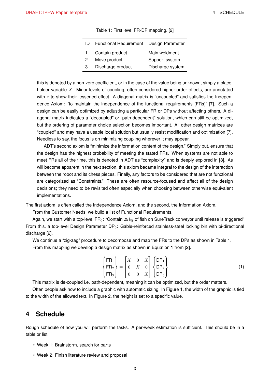<span id="page-2-0"></span>

| ID | Functional Requirement Design Parameter |                  |
|----|-----------------------------------------|------------------|
| 1. | Contain product                         | Main weldment    |
| 2  | Move product                            | Support system   |
| З  | Discharge product                       | Discharge system |

Table 1: First level FR-DP mapping. [\[2\]](#page-4-1)

this is denoted by a non-zero coefficient, or in the case of the value being unknown, simply a placeholder variable  $X$ . Minor levels of coupling, often considered higher-order effects, are annotated with  $x$  to show their lessened effect. A diagonal matrix is "uncoupled" and satisfies the Independence Axiom: "to maintain the independence of the functional requirements (FRs)" [\[7\]](#page-4-6). Such a design can be easily optimized by adjusting a particular FR or DPs without affecting others. A diagonal matrix indicates a "decoupled" or "path-dependent" solution, which can still be optimized, but the ordering of parameter choice selection becomes important. All other design matrices are "coupled" and may have a usable local solution but usually resist modification and optimization [\[7\]](#page-4-6). Needless to say, the focus is on minimizing coupling wherever it may appear.

ADT's second axiom is "minimize the information content of the design." Simply put, ensure that the design has the highest probability of meeting the stated FRs. When systems are not able to meet FRs all of the time, this is denoted in ADT as "complexity" and is deeply explored in [\[8\]](#page-4-7). As will become apparent in the next section, this axiom became integral to the design of the interaction between the robot and its chess pieces. Finally, any factors to be considered that are not functional are categorized as "Constraints." These are often resource-focused and affect all of the design decisions; they need to be revisited often especially when choosing between otherwise equivalent implementations.

The first axiom is often called the Independence Axiom, and the second, the Information Axiom.

From the Customer Needs, we build a list of Functional Requirements.

Again, we start with a top-level  $FR_0$ : "Contain 25 kg of fish on SureTrack conveyor until release is triggered" From this, a top-level Design Parameter  $DP_0$ : Gable-reinforced stainless-steel locking bin with bi-directional discharge [\[2\]](#page-4-1).

We continue a "zig-zag" procedure to decompose and map the FRs to the DPs as shown in Table [1.](#page-2-0) From this mapping we develop a design matrix as shown in Equation [1](#page-2-1) from [\[2\]](#page-4-1).

<span id="page-2-1"></span>
$$
\begin{Bmatrix} \mathsf{FR}_{1} \\ \mathsf{FR}_{2} \\ \mathsf{FR}_{3} \end{Bmatrix} = \begin{bmatrix} X & 0 & X \\ 0 & X & 0 \\ 0 & 0 & X \end{bmatrix} \begin{Bmatrix} \mathsf{DP}_{1} \\ \mathsf{DP}_{2} \\ \mathsf{DP}_{3} \end{Bmatrix}
$$
 (1)

This matrix is de-coupled i.e. path-dependent, meaning it can be optimized, but the order matters.

Often people ask how to include a graphic with automatic sizing. In Figure [1,](#page-3-0) the width of the graphic is tied to the width of the allowed text. In Figure [2,](#page-3-1) the height is set to a specific value.

#### **4 Schedule**

Rough schedule of how you will perform the tasks. A per-week estimation is sufficient. This should be in a table or list.

- Week 1: Brainstorm, search for parts
- Week 2: Finish literature review and proposal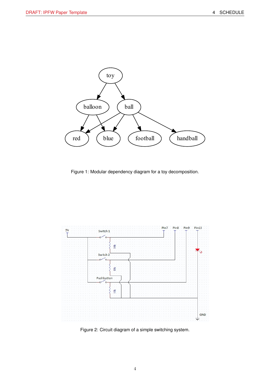<span id="page-3-0"></span>

Figure 1: Modular dependency diagram for a toy decomposition.

<span id="page-3-1"></span>

Figure 2: Circuit diagram of a simple switching system.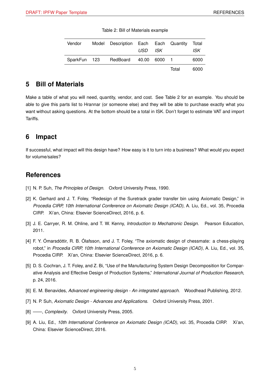<span id="page-4-8"></span>

| Vendor | Model Description Each Each Quantity | USD ISK |       | Total<br>ISK |
|--------|--------------------------------------|---------|-------|--------------|
|        | SparkFun 123 RedBoard 40.00 6000 1   |         |       | 6000         |
|        |                                      |         | Total | 6000         |

|  |  | Table 2: Bill of Materials example |  |
|--|--|------------------------------------|--|
|--|--|------------------------------------|--|

### **5 Bill of Materials**

Make a table of what you will need, quantity, vendor, and cost. See Table [2](#page-4-8) for an example. You should be able to give this parts list to Hrannar (or someone else) and they will be able to purchase exactly what you want without asking questions. At the bottom should be a total in ISK. Don't forget to estimate VAT and import Tariffs.

### **6 Impact**

If successful, what impact will this design have? How easy is it to turn into a business? What would you expect for volume/sales?

#### **References**

- <span id="page-4-0"></span>[1] N. P. Suh, *The Principles of Design.* Oxford University Press, 1990.
- <span id="page-4-1"></span>[2] K. Gerhard and J. T. Foley, "Redesign of the Suretrack grader transfer bin using Axiomatic Design," in *Procedia CIRP, 10th International Conference on Axiomatic Design (ICAD)*, A. Liu, Ed., vol. 35, Procedia CIRP. Xi'an, China: Elsevier ScienceDirect, 2016, p. 6.
- <span id="page-4-2"></span>[3] J. E. Carryer, R. M. Ohline, and T. W. Kenny, *Introduction to Mechatronic Design*. Pearson Education, 2011.
- <span id="page-4-3"></span>[4] F. Y. Ómarsdóttir, R. B. Ólafsson, and J. T. Foley, "The axiomatic design of chessmate: a chess-playing robot," in *Procedia CIRP, 10th International Conference on Axiomatic Design (ICAD)*, A. Liu, Ed., vol. 35, Procedia CIRP. Xi'an, China: Elsevier ScienceDirect, 2016, p. 6.
- <span id="page-4-4"></span>[5] D. S. Cochran, J. T. Foley, and Z. Bi, "Use of the Manufacturing System Design Decomposition for Comparative Analysis and Effective Design of Production Systems," *International Journal of Production Research*, p. 24, 2016.
- <span id="page-4-5"></span>[6] E. M. Benavides, *Advanced engineering design - An integrated approach*. Woodhead Publishing, 2012.
- <span id="page-4-6"></span>[7] N. P. Suh, *Axiomatic Design - Advances and Applications*. Oxford University Press, 2001.
- <span id="page-4-7"></span>[8] ——, *Complexity*. Oxford University Press, 2005.
- [9] A. Liu, Ed., *10th International Conference on Axiomatic Design (ICAD)*, vol. 35, Procedia CIRP. Xi'an, China: Elsevier ScienceDirect, 2016.